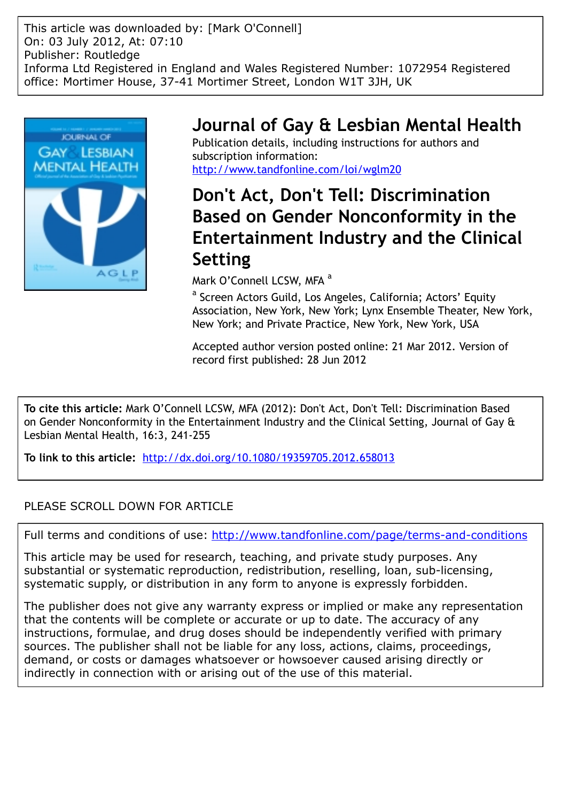This article was downloaded by: [Mark O'Connell] On: 03 July 2012, At: 07:10 Publisher: Routledge Informa Ltd Registered in England and Wales Registered Number: 1072954 Registered office: Mortimer House, 37-41 Mortimer Street, London W1T 3JH, UK



## **Journal of Gay & Lesbian Mental Health**

Publication details, including instructions for authors and subscription information: <http://www.tandfonline.com/loi/wglm20>

# **Don't Act, Don't Tell: Discrimination Based on Gender Nonconformity in the Entertainment Industry and the Clinical Setting**

Mark O'Connell LCSW, MFA <sup>a</sup>

<sup>a</sup> Screen Actors Guild, Los Angeles, California; Actors' Equity Association, New York, New York; Lynx Ensemble Theater, New York, New York; and Private Practice, New York, New York, USA

Accepted author version posted online: 21 Mar 2012. Version of record first published: 28 Jun 2012

**To cite this article:** Mark O'Connell LCSW, MFA (2012): Don't Act, Don't Tell: Discrimination Based on Gender Nonconformity in the Entertainment Industry and the Clinical Setting, Journal of Gay & Lesbian Mental Health, 16:3, 241-255

**To link to this article:** <http://dx.doi.org/10.1080/19359705.2012.658013>

### PLEASE SCROLL DOWN FOR ARTICLE

Full terms and conditions of use:<http://www.tandfonline.com/page/terms-and-conditions>

This article may be used for research, teaching, and private study purposes. Any substantial or systematic reproduction, redistribution, reselling, loan, sub-licensing, systematic supply, or distribution in any form to anyone is expressly forbidden.

The publisher does not give any warranty express or implied or make any representation that the contents will be complete or accurate or up to date. The accuracy of any instructions, formulae, and drug doses should be independently verified with primary sources. The publisher shall not be liable for any loss, actions, claims, proceedings, demand, or costs or damages whatsoever or howsoever caused arising directly or indirectly in connection with or arising out of the use of this material.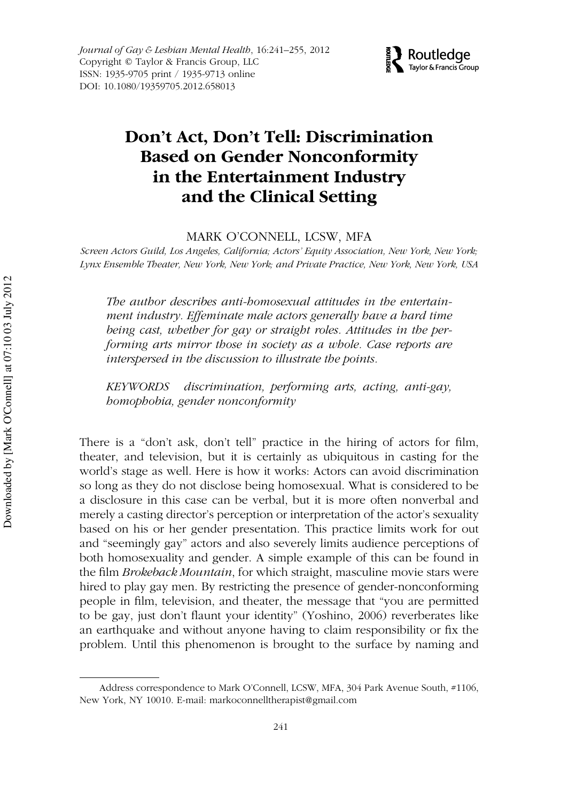

### **Don't Act, Don't Tell: Discrimination Based on Gender Nonconformity in the Entertainment Industry and the Clinical Setting**

#### MARK O'CONNELL, LCSW, MFA

*Screen Actors Guild, Los Angeles, California; Actors' Equity Association, New York, New York; Lynx Ensemble Theater, New York, New York; and Private Practice, New York, New York, USA*

*The author describes anti-homosexual attitudes in the entertainment industry. Effeminate male actors generally have a hard time being cast, whether for gay or straight roles. Attitudes in the performing arts mirror those in society as a whole. Case reports are interspersed in the discussion to illustrate the points.*

*KEYWORDS discrimination, performing arts, acting, anti-gay, homophobia, gender nonconformity*

There is a "don't ask, don't tell" practice in the hiring of actors for film, theater, and television, but it is certainly as ubiquitous in casting for the world's stage as well. Here is how it works: Actors can avoid discrimination so long as they do not disclose being homosexual. What is considered to be a disclosure in this case can be verbal, but it is more often nonverbal and merely a casting director's perception or interpretation of the actor's sexuality based on his or her gender presentation. This practice limits work for out and "seemingly gay" actors and also severely limits audience perceptions of both homosexuality and gender. A simple example of this can be found in the film *Brokeback Mountain*, for which straight, masculine movie stars were hired to play gay men. By restricting the presence of gender-nonconforming people in film, television, and theater, the message that "you are permitted to be gay, just don't flaunt your identity" (Yoshino, 2006) reverberates like an earthquake and without anyone having to claim responsibility or fix the problem. Until this phenomenon is brought to the surface by naming and

Address correspondence to Mark O'Connell, LCSW, MFA, 304 Park Avenue South, #1106, New York, NY 10010. E-mail: markoconnelltherapist@gmail.com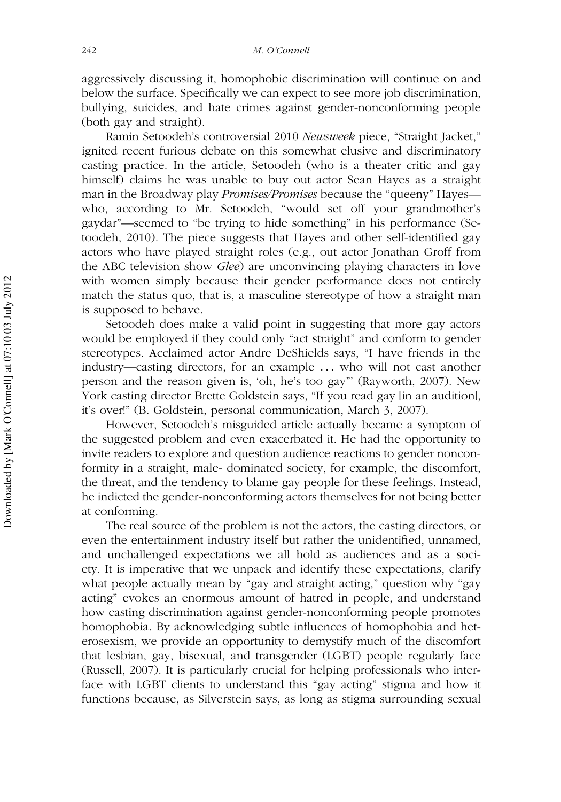aggressively discussing it, homophobic discrimination will continue on and below the surface. Specifically we can expect to see more job discrimination, bullying, suicides, and hate crimes against gender-nonconforming people (both gay and straight).

Ramin Setoodeh's controversial 2010 *Newsweek* piece, "Straight Jacket," ignited recent furious debate on this somewhat elusive and discriminatory casting practice. In the article, Setoodeh (who is a theater critic and gay himself) claims he was unable to buy out actor Sean Hayes as a straight man in the Broadway play *Promises/Promises* because the "queeny" Hayes who, according to Mr. Setoodeh, "would set off your grandmother's gaydar"—seemed to "be trying to hide something" in his performance (Setoodeh, 2010). The piece suggests that Hayes and other self-identified gay actors who have played straight roles (e.g., out actor Jonathan Groff from the ABC television show *Glee*) are unconvincing playing characters in love with women simply because their gender performance does not entirely match the status quo, that is, a masculine stereotype of how a straight man is supposed to behave.

Setoodeh does make a valid point in suggesting that more gay actors would be employed if they could only "act straight" and conform to gender stereotypes. Acclaimed actor Andre DeShields says, "I have friends in the industry—casting directors, for an example ... who will not cast another person and the reason given is, 'oh, he's too gay"' (Rayworth, 2007). New York casting director Brette Goldstein says, "If you read gay [in an audition], it's over!" (B. Goldstein, personal communication, March 3, 2007).

However, Setoodeh's misguided article actually became a symptom of the suggested problem and even exacerbated it. He had the opportunity to invite readers to explore and question audience reactions to gender nonconformity in a straight, male- dominated society, for example, the discomfort, the threat, and the tendency to blame gay people for these feelings. Instead, he indicted the gender-nonconforming actors themselves for not being better at conforming.

The real source of the problem is not the actors, the casting directors, or even the entertainment industry itself but rather the unidentified, unnamed, and unchallenged expectations we all hold as audiences and as a society. It is imperative that we unpack and identify these expectations, clarify what people actually mean by "gay and straight acting," question why "gay acting" evokes an enormous amount of hatred in people, and understand how casting discrimination against gender-nonconforming people promotes homophobia. By acknowledging subtle influences of homophobia and heterosexism, we provide an opportunity to demystify much of the discomfort that lesbian, gay, bisexual, and transgender (LGBT) people regularly face (Russell, 2007). It is particularly crucial for helping professionals who interface with LGBT clients to understand this "gay acting" stigma and how it functions because, as Silverstein says, as long as stigma surrounding sexual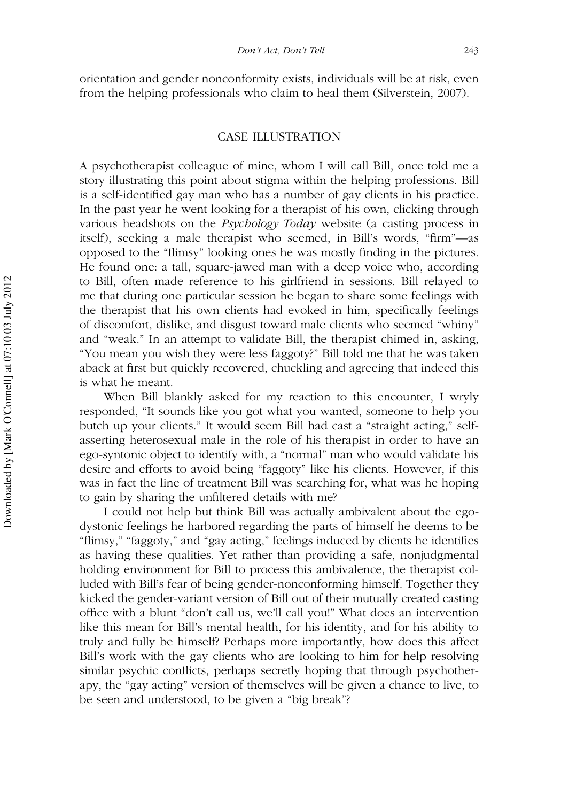orientation and gender nonconformity exists, individuals will be at risk, even from the helping professionals who claim to heal them (Silverstein, 2007).

#### CASE ILLUSTRATION

A psychotherapist colleague of mine, whom I will call Bill, once told me a story illustrating this point about stigma within the helping professions. Bill is a self-identified gay man who has a number of gay clients in his practice. In the past year he went looking for a therapist of his own, clicking through various headshots on the *Psychology Today* website (a casting process in itself), seeking a male therapist who seemed, in Bill's words, "firm"—as opposed to the "flimsy" looking ones he was mostly finding in the pictures. He found one: a tall, square-jawed man with a deep voice who, according to Bill, often made reference to his girlfriend in sessions. Bill relayed to me that during one particular session he began to share some feelings with the therapist that his own clients had evoked in him, specifically feelings of discomfort, dislike, and disgust toward male clients who seemed "whiny" and "weak." In an attempt to validate Bill, the therapist chimed in, asking, "You mean you wish they were less faggoty?" Bill told me that he was taken aback at first but quickly recovered, chuckling and agreeing that indeed this is what he meant.

When Bill blankly asked for my reaction to this encounter, I wryly responded, "It sounds like you got what you wanted, someone to help you butch up your clients." It would seem Bill had cast a "straight acting," selfasserting heterosexual male in the role of his therapist in order to have an ego-syntonic object to identify with, a "normal" man who would validate his desire and efforts to avoid being "faggoty" like his clients. However, if this was in fact the line of treatment Bill was searching for, what was he hoping to gain by sharing the unfiltered details with me?

I could not help but think Bill was actually ambivalent about the egodystonic feelings he harbored regarding the parts of himself he deems to be "flimsy," "faggoty," and "gay acting," feelings induced by clients he identifies as having these qualities. Yet rather than providing a safe, nonjudgmental holding environment for Bill to process this ambivalence, the therapist colluded with Bill's fear of being gender-nonconforming himself. Together they kicked the gender-variant version of Bill out of their mutually created casting office with a blunt "don't call us, we'll call you!" What does an intervention like this mean for Bill's mental health, for his identity, and for his ability to truly and fully be himself? Perhaps more importantly, how does this affect Bill's work with the gay clients who are looking to him for help resolving similar psychic conflicts, perhaps secretly hoping that through psychotherapy, the "gay acting" version of themselves will be given a chance to live, to be seen and understood, to be given a "big break"?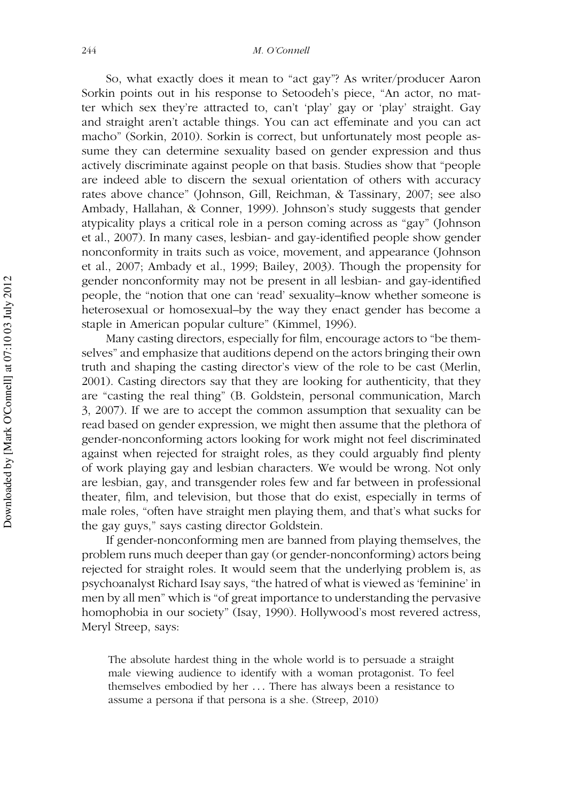So, what exactly does it mean to "act gay"? As writer/producer Aaron Sorkin points out in his response to Setoodeh's piece, "An actor, no matter which sex they're attracted to, can't 'play' gay or 'play' straight. Gay and straight aren't actable things. You can act effeminate and you can act macho" (Sorkin, 2010). Sorkin is correct, but unfortunately most people assume they can determine sexuality based on gender expression and thus actively discriminate against people on that basis. Studies show that "people are indeed able to discern the sexual orientation of others with accuracy rates above chance" (Johnson, Gill, Reichman, & Tassinary, 2007; see also Ambady, Hallahan, & Conner, 1999). Johnson's study suggests that gender atypicality plays a critical role in a person coming across as "gay" (Johnson et al., 2007). In many cases, lesbian- and gay-identified people show gender nonconformity in traits such as voice, movement, and appearance (Johnson et al., 2007; Ambady et al., 1999; Bailey, 2003). Though the propensity for gender nonconformity may not be present in all lesbian- and gay-identified people, the "notion that one can 'read' sexuality–know whether someone is heterosexual or homosexual–by the way they enact gender has become a staple in American popular culture" (Kimmel, 1996).

Many casting directors, especially for film, encourage actors to "be themselves" and emphasize that auditions depend on the actors bringing their own truth and shaping the casting director's view of the role to be cast (Merlin, 2001). Casting directors say that they are looking for authenticity, that they are "casting the real thing" (B. Goldstein, personal communication, March 3, 2007). If we are to accept the common assumption that sexuality can be read based on gender expression, we might then assume that the plethora of gender-nonconforming actors looking for work might not feel discriminated against when rejected for straight roles, as they could arguably find plenty of work playing gay and lesbian characters. We would be wrong. Not only are lesbian, gay, and transgender roles few and far between in professional theater, film, and television, but those that do exist, especially in terms of male roles, "often have straight men playing them, and that's what sucks for the gay guys," says casting director Goldstein.

If gender-nonconforming men are banned from playing themselves, the problem runs much deeper than gay (or gender-nonconforming) actors being rejected for straight roles. It would seem that the underlying problem is, as psychoanalyst Richard Isay says, "the hatred of what is viewed as 'feminine' in men by all men" which is "of great importance to understanding the pervasive homophobia in our society" (Isay, 1990). Hollywood's most revered actress, Meryl Streep, says:

The absolute hardest thing in the whole world is to persuade a straight male viewing audience to identify with a woman protagonist. To feel themselves embodied by her ... There has always been a resistance to assume a persona if that persona is a she. (Streep, 2010)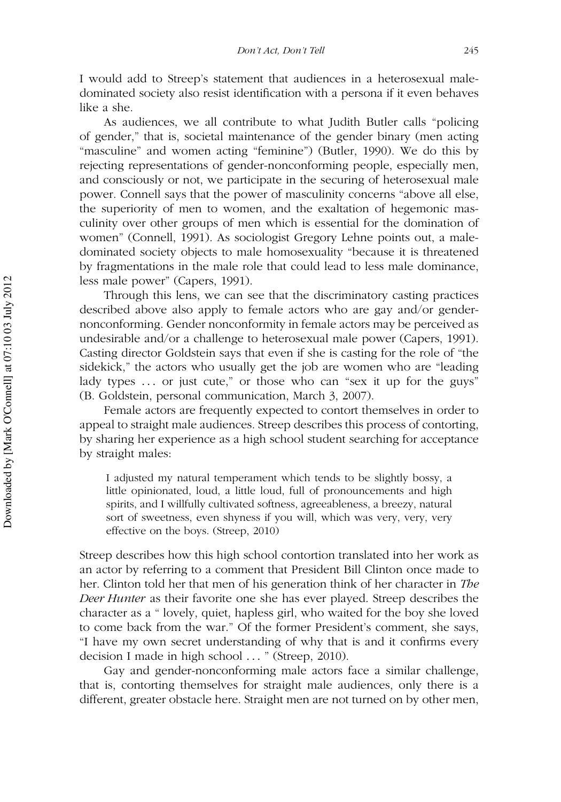I would add to Streep's statement that audiences in a heterosexual maledominated society also resist identification with a persona if it even behaves like a she.

As audiences, we all contribute to what Judith Butler calls "policing of gender," that is, societal maintenance of the gender binary (men acting "masculine" and women acting "feminine") (Butler, 1990). We do this by rejecting representations of gender-nonconforming people, especially men, and consciously or not, we participate in the securing of heterosexual male power. Connell says that the power of masculinity concerns "above all else, the superiority of men to women, and the exaltation of hegemonic masculinity over other groups of men which is essential for the domination of women" (Connell, 1991). As sociologist Gregory Lehne points out, a maledominated society objects to male homosexuality "because it is threatened by fragmentations in the male role that could lead to less male dominance, less male power" (Capers, 1991).

Through this lens, we can see that the discriminatory casting practices described above also apply to female actors who are gay and/or gendernonconforming. Gender nonconformity in female actors may be perceived as undesirable and/or a challenge to heterosexual male power (Capers, 1991). Casting director Goldstein says that even if she is casting for the role of "the sidekick," the actors who usually get the job are women who are "leading lady types ... or just cute," or those who can "sex it up for the guys" (B. Goldstein, personal communication, March 3, 2007).

Female actors are frequently expected to contort themselves in order to appeal to straight male audiences. Streep describes this process of contorting, by sharing her experience as a high school student searching for acceptance by straight males:

I adjusted my natural temperament which tends to be slightly bossy, a little opinionated, loud, a little loud, full of pronouncements and high spirits, and I willfully cultivated softness, agreeableness, a breezy, natural sort of sweetness, even shyness if you will, which was very, very, very effective on the boys. (Streep, 2010)

Streep describes how this high school contortion translated into her work as an actor by referring to a comment that President Bill Clinton once made to her. Clinton told her that men of his generation think of her character in *The Deer Hunter* as their favorite one she has ever played. Streep describes the character as a " lovely, quiet, hapless girl, who waited for the boy she loved to come back from the war." Of the former President's comment, she says, "I have my own secret understanding of why that is and it confirms every decision I made in high school ... " (Streep, 2010).

Gay and gender-nonconforming male actors face a similar challenge, that is, contorting themselves for straight male audiences, only there is a different, greater obstacle here. Straight men are not turned on by other men,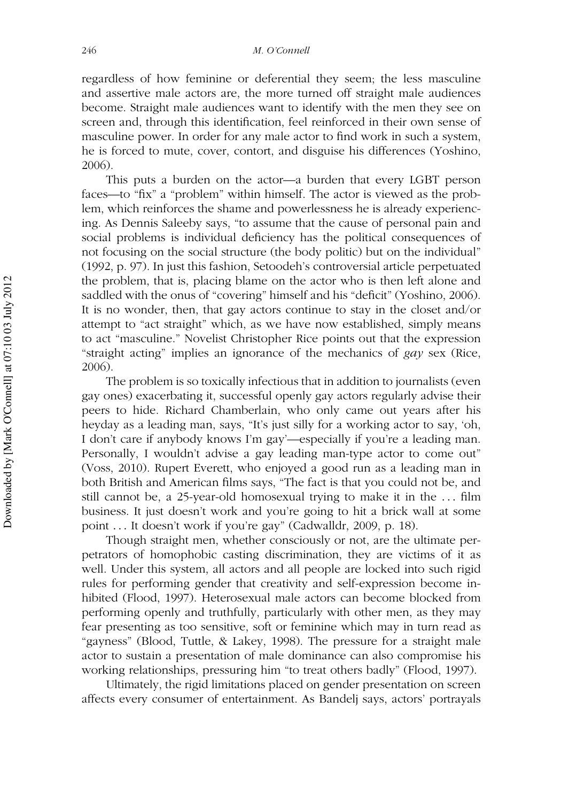regardless of how feminine or deferential they seem; the less masculine and assertive male actors are, the more turned off straight male audiences become. Straight male audiences want to identify with the men they see on screen and, through this identification, feel reinforced in their own sense of masculine power. In order for any male actor to find work in such a system, he is forced to mute, cover, contort, and disguise his differences (Yoshino, 2006).

This puts a burden on the actor—a burden that every LGBT person faces—to "fix" a "problem" within himself. The actor is viewed as the problem, which reinforces the shame and powerlessness he is already experiencing. As Dennis Saleeby says, "to assume that the cause of personal pain and social problems is individual deficiency has the political consequences of not focusing on the social structure (the body politic) but on the individual" (1992, p. 97). In just this fashion, Setoodeh's controversial article perpetuated the problem, that is, placing blame on the actor who is then left alone and saddled with the onus of "covering" himself and his "deficit" (Yoshino, 2006). It is no wonder, then, that gay actors continue to stay in the closet and/or attempt to "act straight" which, as we have now established, simply means to act "masculine." Novelist Christopher Rice points out that the expression "straight acting" implies an ignorance of the mechanics of *gay* sex (Rice, 2006).

The problem is so toxically infectious that in addition to journalists (even gay ones) exacerbating it, successful openly gay actors regularly advise their peers to hide. Richard Chamberlain, who only came out years after his heyday as a leading man, says, "It's just silly for a working actor to say, 'oh, I don't care if anybody knows I'm gay'—especially if you're a leading man. Personally, I wouldn't advise a gay leading man-type actor to come out" (Voss, 2010). Rupert Everett, who enjoyed a good run as a leading man in both British and American films says, "The fact is that you could not be, and still cannot be, a 25-year-old homosexual trying to make it in the ... film business. It just doesn't work and you're going to hit a brick wall at some point ... It doesn't work if you're gay" (Cadwalldr, 2009, p. 18).

Though straight men, whether consciously or not, are the ultimate perpetrators of homophobic casting discrimination, they are victims of it as well. Under this system, all actors and all people are locked into such rigid rules for performing gender that creativity and self-expression become inhibited (Flood, 1997). Heterosexual male actors can become blocked from performing openly and truthfully, particularly with other men, as they may fear presenting as too sensitive, soft or feminine which may in turn read as "gayness" (Blood, Tuttle, & Lakey, 1998). The pressure for a straight male actor to sustain a presentation of male dominance can also compromise his working relationships, pressuring him "to treat others badly" (Flood, 1997).

Ultimately, the rigid limitations placed on gender presentation on screen affects every consumer of entertainment. As Bandelj says, actors' portrayals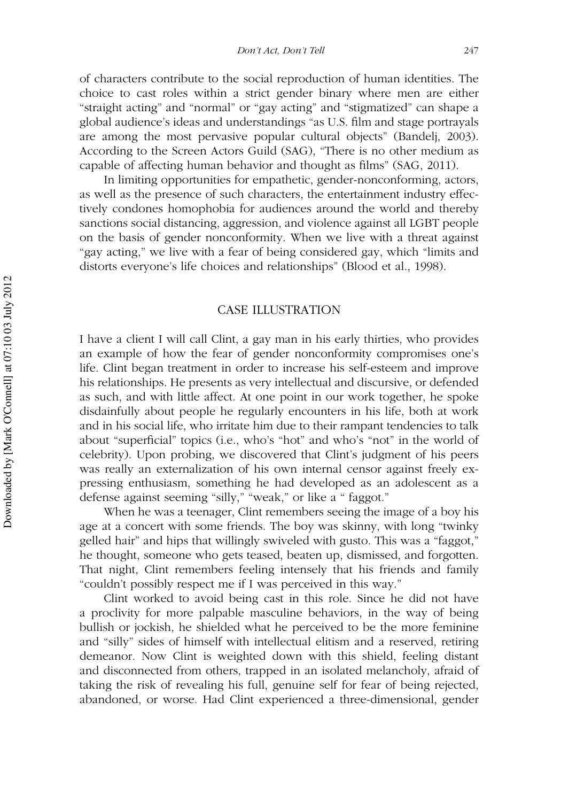*Don't Act, Don't Tell* 247

of characters contribute to the social reproduction of human identities. The choice to cast roles within a strict gender binary where men are either "straight acting" and "normal" or "gay acting" and "stigmatized" can shape a global audience's ideas and understandings "as U.S. film and stage portrayals are among the most pervasive popular cultural objects" (Bandelj, 2003). According to the Screen Actors Guild (SAG), "There is no other medium as capable of affecting human behavior and thought as films" (SAG, 2011).

In limiting opportunities for empathetic, gender-nonconforming, actors, as well as the presence of such characters, the entertainment industry effectively condones homophobia for audiences around the world and thereby sanctions social distancing, aggression, and violence against all LGBT people on the basis of gender nonconformity. When we live with a threat against "gay acting," we live with a fear of being considered gay, which "limits and distorts everyone's life choices and relationships" (Blood et al., 1998).

#### CASE ILLUSTRATION

I have a client I will call Clint, a gay man in his early thirties, who provides an example of how the fear of gender nonconformity compromises one's life. Clint began treatment in order to increase his self-esteem and improve his relationships. He presents as very intellectual and discursive, or defended as such, and with little affect. At one point in our work together, he spoke disdainfully about people he regularly encounters in his life, both at work and in his social life, who irritate him due to their rampant tendencies to talk about "superficial" topics (i.e., who's "hot" and who's "not" in the world of celebrity). Upon probing, we discovered that Clint's judgment of his peers was really an externalization of his own internal censor against freely expressing enthusiasm, something he had developed as an adolescent as a defense against seeming "silly," "weak," or like a " faggot."

When he was a teenager, Clint remembers seeing the image of a boy his age at a concert with some friends. The boy was skinny, with long "twinky gelled hair" and hips that willingly swiveled with gusto. This was a "faggot," he thought, someone who gets teased, beaten up, dismissed, and forgotten. That night, Clint remembers feeling intensely that his friends and family "couldn't possibly respect me if I was perceived in this way."

Clint worked to avoid being cast in this role. Since he did not have a proclivity for more palpable masculine behaviors, in the way of being bullish or jockish, he shielded what he perceived to be the more feminine and "silly" sides of himself with intellectual elitism and a reserved, retiring demeanor. Now Clint is weighted down with this shield, feeling distant and disconnected from others, trapped in an isolated melancholy, afraid of taking the risk of revealing his full, genuine self for fear of being rejected, abandoned, or worse. Had Clint experienced a three-dimensional, gender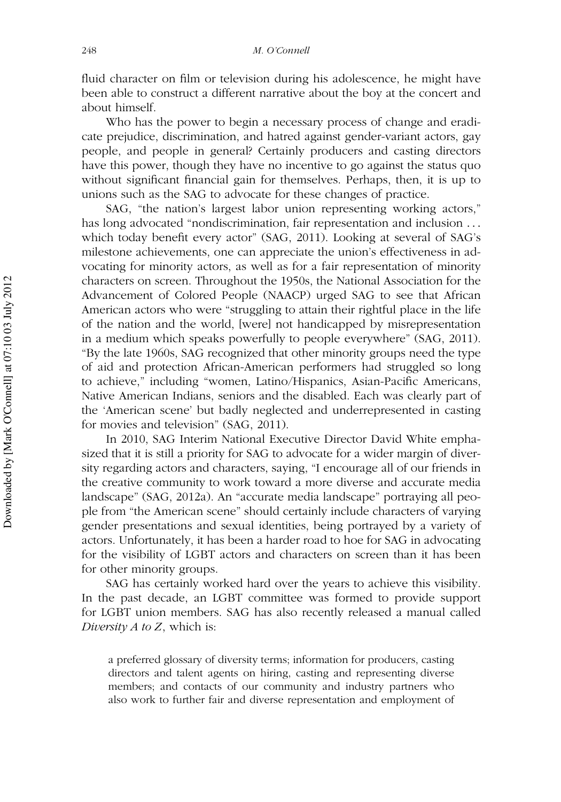fluid character on film or television during his adolescence, he might have been able to construct a different narrative about the boy at the concert and about himself.

Who has the power to begin a necessary process of change and eradicate prejudice, discrimination, and hatred against gender-variant actors, gay people, and people in general? Certainly producers and casting directors have this power, though they have no incentive to go against the status quo without significant financial gain for themselves. Perhaps, then, it is up to unions such as the SAG to advocate for these changes of practice.

SAG, "the nation's largest labor union representing working actors," has long advocated "nondiscrimination, fair representation and inclusion ... which today benefit every actor" (SAG, 2011). Looking at several of SAG's milestone achievements, one can appreciate the union's effectiveness in advocating for minority actors, as well as for a fair representation of minority characters on screen. Throughout the 1950s, the National Association for the Advancement of Colored People (NAACP) urged SAG to see that African American actors who were "struggling to attain their rightful place in the life of the nation and the world, [were] not handicapped by misrepresentation in a medium which speaks powerfully to people everywhere" (SAG, 2011). "By the late 1960s, SAG recognized that other minority groups need the type of aid and protection African-American performers had struggled so long to achieve," including "women, Latino/Hispanics, Asian-Pacific Americans, Native American Indians, seniors and the disabled. Each was clearly part of the 'American scene' but badly neglected and underrepresented in casting for movies and television" (SAG, 2011).

In 2010, SAG Interim National Executive Director David White emphasized that it is still a priority for SAG to advocate for a wider margin of diversity regarding actors and characters, saying, "I encourage all of our friends in the creative community to work toward a more diverse and accurate media landscape" (SAG, 2012a). An "accurate media landscape" portraying all people from "the American scene" should certainly include characters of varying gender presentations and sexual identities, being portrayed by a variety of actors. Unfortunately, it has been a harder road to hoe for SAG in advocating for the visibility of LGBT actors and characters on screen than it has been for other minority groups.

SAG has certainly worked hard over the years to achieve this visibility. In the past decade, an LGBT committee was formed to provide support for LGBT union members. SAG has also recently released a manual called *Diversity A to Z*, which is:

a preferred glossary of diversity terms; information for producers, casting directors and talent agents on hiring, casting and representing diverse members; and contacts of our community and industry partners who also work to further fair and diverse representation and employment of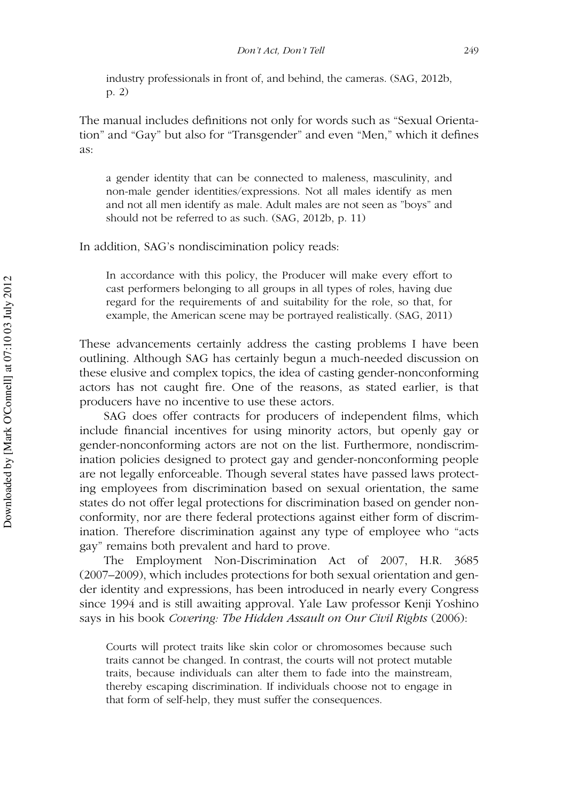industry professionals in front of, and behind, the cameras. (SAG, 2012b, p. 2)

The manual includes definitions not only for words such as "Sexual Orientation" and "Gay" but also for "Transgender" and even "Men," which it defines as:

a gender identity that can be connected to maleness, masculinity, and non-male gender identities/expressions. Not all males identify as men and not all men identify as male. Adult males are not seen as "boys" and should not be referred to as such. (SAG, 2012b, p. 11)

In addition, SAG's nondiscimination policy reads:

In accordance with this policy, the Producer will make every effort to cast performers belonging to all groups in all types of roles, having due regard for the requirements of and suitability for the role, so that, for example, the American scene may be portrayed realistically. (SAG, 2011)

These advancements certainly address the casting problems I have been outlining. Although SAG has certainly begun a much-needed discussion on these elusive and complex topics, the idea of casting gender-nonconforming actors has not caught fire. One of the reasons, as stated earlier, is that producers have no incentive to use these actors.

SAG does offer contracts for producers of independent films, which include financial incentives for using minority actors, but openly gay or gender-nonconforming actors are not on the list. Furthermore, nondiscrimination policies designed to protect gay and gender-nonconforming people are not legally enforceable. Though several states have passed laws protecting employees from discrimination based on sexual orientation, the same states do not offer legal protections for discrimination based on gender nonconformity, nor are there federal protections against either form of discrimination. Therefore discrimination against any type of employee who "acts gay" remains both prevalent and hard to prove.

The Employment Non-Discrimination Act of 2007, H.R. 3685 (2007–2009), which includes protections for both sexual orientation and gender identity and expressions, has been introduced in nearly every Congress since 1994 and is still awaiting approval. Yale Law professor Kenji Yoshino says in his book *Covering: The Hidden Assault on Our Civil Rights* (2006):

Courts will protect traits like skin color or chromosomes because such traits cannot be changed. In contrast, the courts will not protect mutable traits, because individuals can alter them to fade into the mainstream, thereby escaping discrimination. If individuals choose not to engage in that form of self-help, they must suffer the consequences.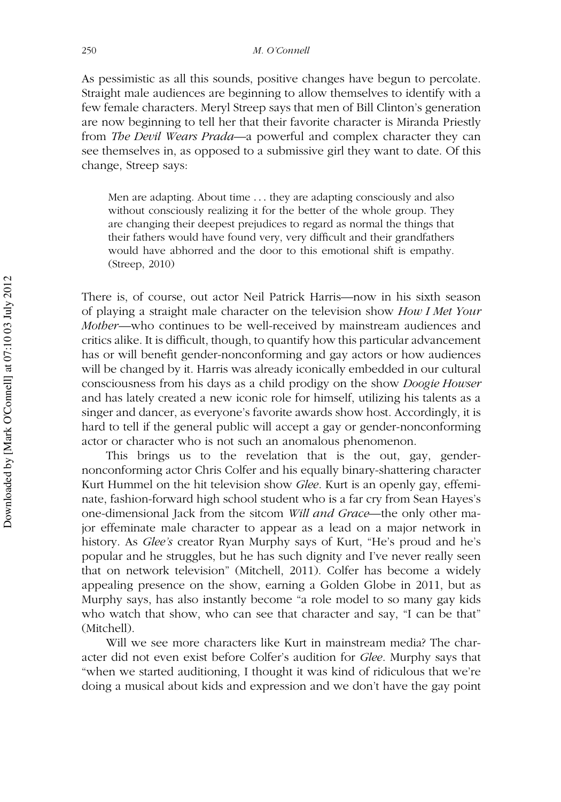As pessimistic as all this sounds, positive changes have begun to percolate. Straight male audiences are beginning to allow themselves to identify with a few female characters. Meryl Streep says that men of Bill Clinton's generation are now beginning to tell her that their favorite character is Miranda Priestly from *The Devil Wears Prada*—a powerful and complex character they can see themselves in, as opposed to a submissive girl they want to date. Of this change, Streep says:

Men are adapting. About time ... they are adapting consciously and also without consciously realizing it for the better of the whole group. They are changing their deepest prejudices to regard as normal the things that their fathers would have found very, very difficult and their grandfathers would have abhorred and the door to this emotional shift is empathy. (Streep, 2010)

There is, of course, out actor Neil Patrick Harris—now in his sixth season of playing a straight male character on the television show *How I Met Your Mother*—who continues to be well-received by mainstream audiences and critics alike. It is difficult, though, to quantify how this particular advancement has or will benefit gender-nonconforming and gay actors or how audiences will be changed by it. Harris was already iconically embedded in our cultural consciousness from his days as a child prodigy on the show *Doogie Howser* and has lately created a new iconic role for himself, utilizing his talents as a singer and dancer, as everyone's favorite awards show host. Accordingly, it is hard to tell if the general public will accept a gay or gender-nonconforming actor or character who is not such an anomalous phenomenon.

This brings us to the revelation that is the out, gay, gendernonconforming actor Chris Colfer and his equally binary-shattering character Kurt Hummel on the hit television show *Glee*. Kurt is an openly gay, effeminate, fashion-forward high school student who is a far cry from Sean Hayes's one-dimensional Jack from the sitcom *Will and Grace—*the only other major effeminate male character to appear as a lead on a major network in history. As *Glee's* creator Ryan Murphy says of Kurt, "He's proud and he's popular and he struggles, but he has such dignity and I've never really seen that on network television" (Mitchell, 2011). Colfer has become a widely appealing presence on the show, earning a Golden Globe in 2011, but as Murphy says, has also instantly become "a role model to so many gay kids who watch that show, who can see that character and say, "I can be that" (Mitchell).

Will we see more characters like Kurt in mainstream media? The character did not even exist before Colfer's audition for *Glee*. Murphy says that "when we started auditioning, I thought it was kind of ridiculous that we're doing a musical about kids and expression and we don't have the gay point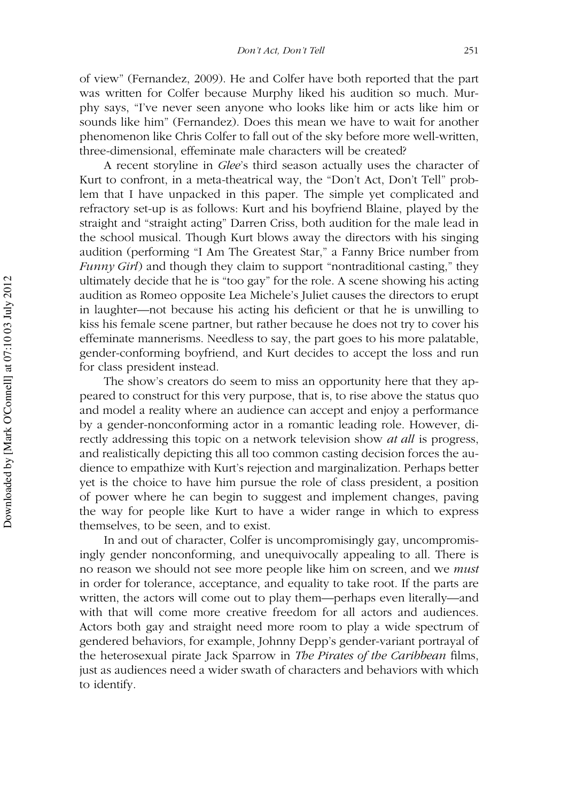of view" (Fernandez, 2009). He and Colfer have both reported that the part was written for Colfer because Murphy liked his audition so much. Murphy says, "I've never seen anyone who looks like him or acts like him or sounds like him" (Fernandez). Does this mean we have to wait for another phenomenon like Chris Colfer to fall out of the sky before more well-written, three-dimensional, effeminate male characters will be created?

A recent storyline in *Glee*'s third season actually uses the character of Kurt to confront, in a meta-theatrical way, the "Don't Act, Don't Tell" problem that I have unpacked in this paper. The simple yet complicated and refractory set-up is as follows: Kurt and his boyfriend Blaine, played by the straight and "straight acting" Darren Criss, both audition for the male lead in the school musical. Though Kurt blows away the directors with his singing audition (performing "I Am The Greatest Star," a Fanny Brice number from *Funny Girl*) and though they claim to support "nontraditional casting," they ultimately decide that he is "too gay" for the role. A scene showing his acting audition as Romeo opposite Lea Michele's Juliet causes the directors to erupt in laughter—not because his acting his deficient or that he is unwilling to kiss his female scene partner, but rather because he does not try to cover his effeminate mannerisms. Needless to say, the part goes to his more palatable, gender-conforming boyfriend, and Kurt decides to accept the loss and run for class president instead.

The show's creators do seem to miss an opportunity here that they appeared to construct for this very purpose, that is, to rise above the status quo and model a reality where an audience can accept and enjoy a performance by a gender-nonconforming actor in a romantic leading role. However, directly addressing this topic on a network television show *at all* is progress, and realistically depicting this all too common casting decision forces the audience to empathize with Kurt's rejection and marginalization. Perhaps better yet is the choice to have him pursue the role of class president, a position of power where he can begin to suggest and implement changes, paving the way for people like Kurt to have a wider range in which to express themselves, to be seen, and to exist.

In and out of character, Colfer is uncompromisingly gay, uncompromisingly gender nonconforming, and unequivocally appealing to all. There is no reason we should not see more people like him on screen, and we *must* in order for tolerance, acceptance, and equality to take root. If the parts are written, the actors will come out to play them—perhaps even literally—and with that will come more creative freedom for all actors and audiences. Actors both gay and straight need more room to play a wide spectrum of gendered behaviors, for example, Johnny Depp's gender-variant portrayal of the heterosexual pirate Jack Sparrow in *The Pirates of the Caribbean* films, just as audiences need a wider swath of characters and behaviors with which to identify.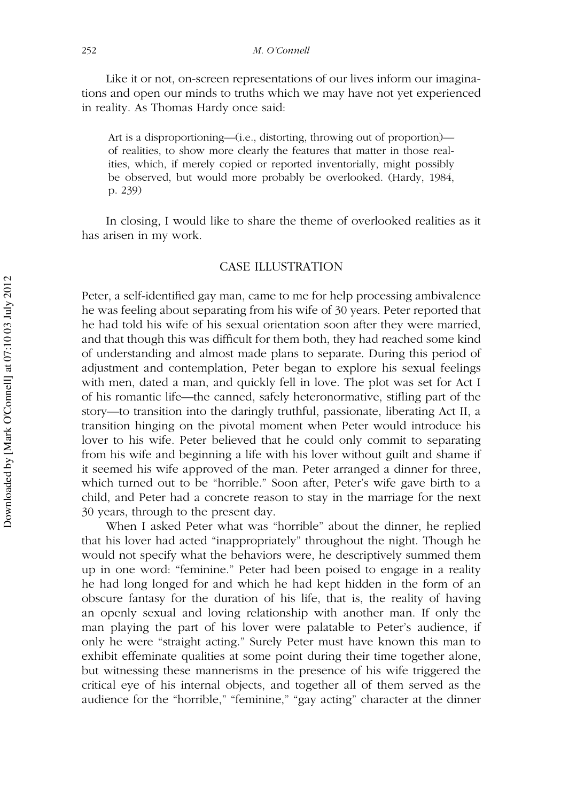Like it or not, on-screen representations of our lives inform our imaginations and open our minds to truths which we may have not yet experienced in reality. As Thomas Hardy once said:

Art is a disproportioning—(i.e., distorting, throwing out of proportion) of realities, to show more clearly the features that matter in those realities, which, if merely copied or reported inventorially, might possibly be observed, but would more probably be overlooked. (Hardy, 1984, p. 239)

In closing, I would like to share the theme of overlooked realities as it has arisen in my work.

#### CASE ILLUSTRATION

Peter, a self-identified gay man, came to me for help processing ambivalence he was feeling about separating from his wife of 30 years. Peter reported that he had told his wife of his sexual orientation soon after they were married, and that though this was difficult for them both, they had reached some kind of understanding and almost made plans to separate. During this period of adjustment and contemplation, Peter began to explore his sexual feelings with men, dated a man, and quickly fell in love. The plot was set for Act I of his romantic life—the canned, safely heteronormative, stifling part of the story—to transition into the daringly truthful, passionate, liberating Act II, a transition hinging on the pivotal moment when Peter would introduce his lover to his wife. Peter believed that he could only commit to separating from his wife and beginning a life with his lover without guilt and shame if it seemed his wife approved of the man. Peter arranged a dinner for three, which turned out to be "horrible." Soon after, Peter's wife gave birth to a child, and Peter had a concrete reason to stay in the marriage for the next 30 years, through to the present day.

When I asked Peter what was "horrible" about the dinner, he replied that his lover had acted "inappropriately" throughout the night. Though he would not specify what the behaviors were, he descriptively summed them up in one word: "feminine." Peter had been poised to engage in a reality he had long longed for and which he had kept hidden in the form of an obscure fantasy for the duration of his life, that is, the reality of having an openly sexual and loving relationship with another man. If only the man playing the part of his lover were palatable to Peter's audience, if only he were "straight acting." Surely Peter must have known this man to exhibit effeminate qualities at some point during their time together alone, but witnessing these mannerisms in the presence of his wife triggered the critical eye of his internal objects, and together all of them served as the audience for the "horrible," "feminine," "gay acting" character at the dinner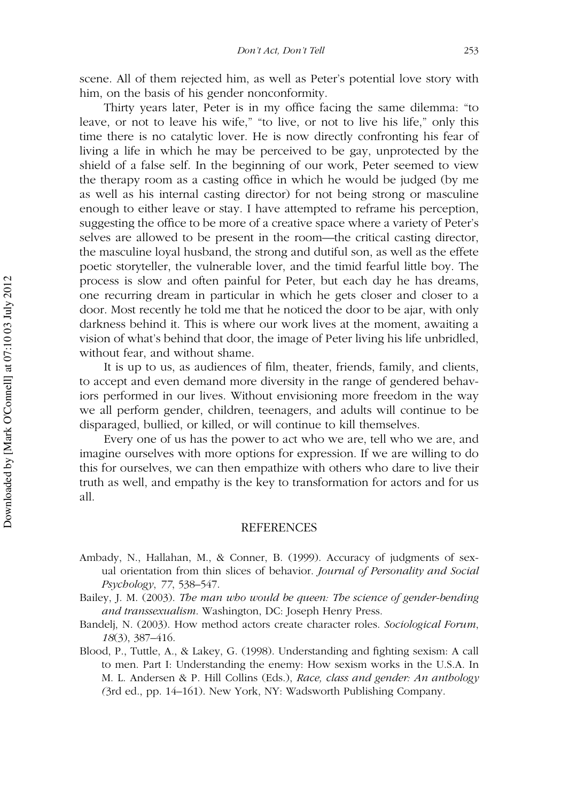scene. All of them rejected him, as well as Peter's potential love story with him, on the basis of his gender nonconformity.

Thirty years later, Peter is in my office facing the same dilemma: "to leave, or not to leave his wife," "to live, or not to live his life," only this time there is no catalytic lover. He is now directly confronting his fear of living a life in which he may be perceived to be gay, unprotected by the shield of a false self. In the beginning of our work, Peter seemed to view the therapy room as a casting office in which he would be judged (by me as well as his internal casting director) for not being strong or masculine enough to either leave or stay. I have attempted to reframe his perception, suggesting the office to be more of a creative space where a variety of Peter's selves are allowed to be present in the room—the critical casting director, the masculine loyal husband, the strong and dutiful son, as well as the effete poetic storyteller, the vulnerable lover, and the timid fearful little boy. The process is slow and often painful for Peter, but each day he has dreams, one recurring dream in particular in which he gets closer and closer to a door. Most recently he told me that he noticed the door to be ajar, with only darkness behind it. This is where our work lives at the moment, awaiting a vision of what's behind that door, the image of Peter living his life unbridled, without fear, and without shame.

It is up to us, as audiences of film, theater, friends, family, and clients, to accept and even demand more diversity in the range of gendered behaviors performed in our lives. Without envisioning more freedom in the way we all perform gender, children, teenagers, and adults will continue to be disparaged, bullied, or killed, or will continue to kill themselves.

Every one of us has the power to act who we are, tell who we are, and imagine ourselves with more options for expression. If we are willing to do this for ourselves, we can then empathize with others who dare to live their truth as well, and empathy is the key to transformation for actors and for us all.

#### REFERENCES

- Ambady, N., Hallahan, M., & Conner, B. (1999). Accuracy of judgments of sexual orientation from thin slices of behavior. *Journal of Personality and Social Psychology*, *77*, 538–547.
- Bailey, J. M. (2003). *The man who would be queen: The science of gender-bending and transsexualism*. Washington, DC: Joseph Henry Press.
- Bandelj, N. (2003). How method actors create character roles. *Sociological Forum*, *18*(3), 387–416.
- Blood, P., Tuttle, A., & Lakey, G. (1998). Understanding and fighting sexism: A call to men. Part I: Understanding the enemy: How sexism works in the U.S.A. In M. L. Andersen & P. Hill Collins (Eds.), *Race, class and gender: An anthology (*3rd ed., pp. 14–161). New York, NY: Wadsworth Publishing Company.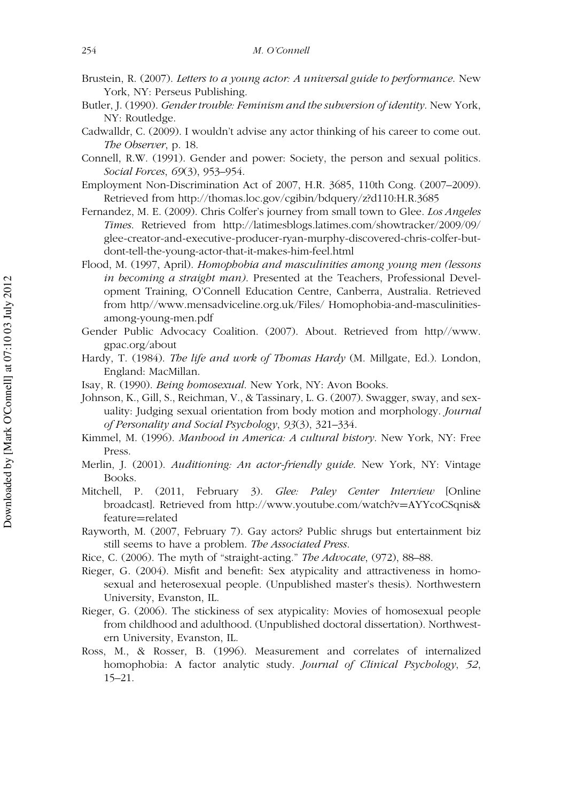- Brustein, R. (2007). *Letters to a young actor: A universal guide to performance*. New York, NY: Perseus Publishing.
- Butler, J. (1990). *Gender trouble: Feminism and the subversion of identity*. New York, NY: Routledge.
- Cadwalldr, C. (2009). I wouldn't advise any actor thinking of his career to come out. *The Observer*, p. 18.
- Connell, R.W. (1991). Gender and power: Society, the person and sexual politics. *Social Forces*, *69*(3), 953–954.
- Employment Non-Discrimination Act of 2007, H.R. 3685, 110th Cong. (2007–2009). Retrieved from http://thomas.loc.gov/cgibin/bdquery/z?d110:H.R.3685
- Fernandez, M. E. (2009). Chris Colfer's journey from small town to Glee. *Los Angeles Times*. Retrieved from http://latimesblogs.latimes.com/showtracker/2009/09/ glee-creator-and-executive-producer-ryan-murphy-discovered-chris-colfer-butdont-tell-the-young-actor-that-it-makes-him-feel.html
- Flood, M. (1997, April). *Homophobia and masculinities among young men (lessons in becoming a straight man)*. Presented at the Teachers, Professional Development Training, O'Connell Education Centre, Canberra, Australia. Retrieved from http//www.mensadviceline.org.uk/Files/ Homophobia-and-masculinitiesamong-young-men.pdf
- Gender Public Advocacy Coalition. (2007). About. Retrieved from http//www. gpac.org/about
- Hardy, T. (1984). *The life and work of Thomas Hardy* (M. Millgate, Ed.). London, England: MacMillan.
- Isay, R. (1990). *Being homosexual*. New York, NY: Avon Books.
- Johnson, K., Gill, S., Reichman, V., & Tassinary, L. G. (2007). Swagger, sway, and sexuality: Judging sexual orientation from body motion and morphology. *Journal of Personality and Social Psychology*, *93*(3), 321–334.
- Kimmel, M. (1996). *Manhood in America: A cultural history*. New York, NY: Free Press.
- Merlin, J. (2001). *Auditioning: An actor-friendly guide*. New York, NY: Vintage Books.
- Mitchell, P. (2011, February 3). *Glee: Paley Center Interview* [Online broadcast]. Retrieved from http://www.youtube.com/watch?v=AYYcoCSqnis& feature=related
- Rayworth, M. (2007, February 7). Gay actors? Public shrugs but entertainment biz still seems to have a problem. *The Associated Press*.
- Rice, C. (2006). The myth of "straight-acting." *The Advocate*, (972), 88–88.
- Rieger, G. (2004). Misfit and benefit: Sex atypicality and attractiveness in homosexual and heterosexual people. (Unpublished master's thesis). Northwestern University, Evanston, IL.
- Rieger, G. (2006). The stickiness of sex atypicality: Movies of homosexual people from childhood and adulthood. (Unpublished doctoral dissertation). Northwestern University, Evanston, IL.
- Ross, M., & Rosser, B. (1996). Measurement and correlates of internalized homophobia: A factor analytic study. *Journal of Clinical Psychology*, *52*, 15–21.